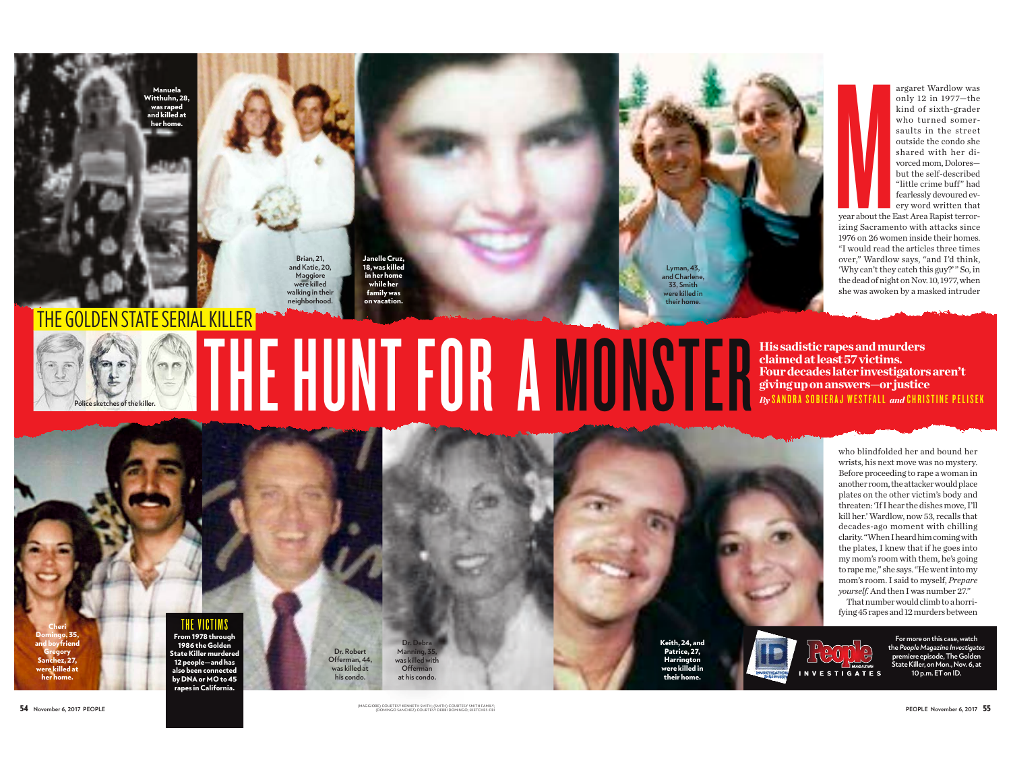itthuhn 21 was rapec ad killed at



Janelle Cruz,<br>18, was killed in her home while her family was on vacation.



argaret Wardlow was only 12 in 1977-the kind of sixth-grader who turned somersaults in the street outside the condo she shared with her divorced mom. Doloresbut the self-described "little crime buff" had fearlessly devoured everv word written that

vear about the East Area Rapist terrorizing Sacramento with attacks since 1976 on 26 women inside their homes. "I would read the articles three times over," Wardlow says, "and I'd think, 'Why can't they catch this guy?'" So, in the dead of night on Nov. 10, 1977, when she was awoken by a masked intruder

## **GOLDEN STATE SERIAL KILLER** THE HUNT FOR A MONSTER **His sadistic rapes and murders** claimed at least 57 victims. Four decades later investigators aren't giving up on answers-or justice By SANDRA SOBIERAJ WESTFALL and CHRISTINE PELISEK

who blindfolded her and bound her wrists, his next move was no mystery. Before proceeding to rape a woman in another room, the attacker would place plates on the other victim's body and threaten: 'If I hear the dishes move, I'll kill her.' Wardlow, now 53, recalls that decades-ago moment with chilling clarity. "When I heard him coming with the plates, I knew that if he goes into my mom's room with them, he's going to rape me," she says. "He went into my mom's room. I said to myself, Prepare yourself. And then I was number 27." That number would climb to a horri-

fying 45 rapes and 12 murders between

For more on this case, watch the People Magazine Investigates<br>premiere episode. The Golden .<br>State Killer, on Mon., Nov. 6, at 10 p.m. ET on ID.

THE VICTIMS

From 1978 through<br>1986 the Golden itate Killer murdere --------------------<br>12 people—and has also heen connecter by DNA or MO to 45 rapes in California.

Offerman, 44,

Dr. Robert was killed at  $Ofform$ his condo. at his condo Keith, 24, and Patrice, 27, their home.



54 November 6, 2017 PEOPLE

.<br>DURTESY KENNETH SMITH; (SMITH) COURTESY SMITH FAMILY<br>IINGO SANCHEZ) COURTESY DEBBI DOMINGO- SKETCHES-ER

Harrington<br>were killed in

PEOPLE November 6.2017 55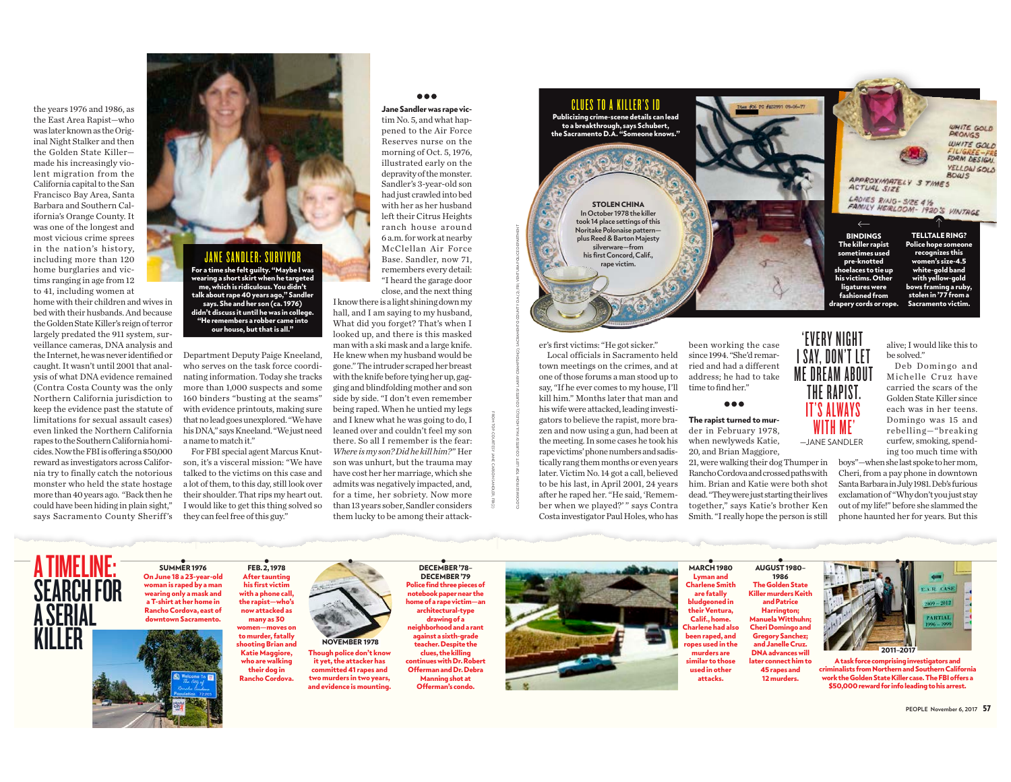the years 1976 and 1986, as the East Area Rapist-who was later known as the Original Night Stalker and then the Golden State Killermade his increasingly violent migration from the California capital to the San Francisco Bay Area, Santa Barbara and Southern California's Orange County. It was one of the longest and most vicious crime sprees in the nation's history, including more than 120 home burglaries and victims ranging in age from 12 to 41, including women at

home with their children and wives in bed with their husbands. And because the Golden State Killer's reign of terror largely predated the 911 system, surveillance cameras. DNA analysis and the Internet, he was never identified or caught. It wasn't until 2001 that analvsis of what DNA evidence remained (Contra Costa County was the only Northern California jurisdiction to keep the evidence past the statute of limitations for sexual assault cases) even linked the Northern California rapes to the Southern California homicides. Now the FBI is offering a \$50,000 reward as investigators across California try to finally catch the notorious monster who held the state hostage more than 40 years ago. "Back then he could have been hiding in plain sight." says Sacramento County Sheriff's



#### For a time she felt guilty. "Maybe I was<br>wearing a short skirt when he targeted<br>me, which is ridiculous. You didn't talk about rape 40 years ago," Sandle says. She and her son (ca. 1976) didn't discuss it until he was in col "He remembers a robber came into our house, but that is all."

Department Deputy Paige Kneeland, who serves on the task force coordinating information. Today she tracks more than 1,000 suspects and some 160 binders "busting at the seams" with evidence printouts, making sure that no lead goes unexplored. "We have his DNA," says Kneeland. "We just need a name to match it."

For FBI special agent Marcus Knutson, it's a visceral mission: "We have talked to the victims on this case and a lot of them, to this day, still look over their shoulder. That rips my heart out. I would like to get this thing solved so they can feel free of this guy."

FEB. 2, 1978

**After taunting** 

#### $\bullet\bullet\bullet$ Jane Sandler was rape vic-

tim No. 5, and what happened to the Air Force Reserves nurse on the morning of Oct. 5, 1976. illustrated early on the depravity of the monster. Sandler's 3-year-old son had just crawled into bed with her as her husband left their Citrus Heights ranch house around 6 a.m. for work at nearby McClellan Air Force Base, Sandler, now 71. remembers every detail: "I heard the garage door close, and the next thing

I know there is a light shining down my hall, and I am saving to my husband. What did you forget? That's when I looked up, and there is this masked man with a ski mask and a large knife. He knew when my husband would be gone." The intruder scraped her breast with the knife before tying her up, gagging and blindfolding mother and son side by side. "I don't even remember being raped. When he untied my legs and I knew what he was going to do, I leaned over and couldn't feel my son there. So all I remember is the fear: Where is my son? Did he kill him?" Her son was unhurt, but the trauma may have cost her her marriage, which she admits was negatively impacted, and, for a time, her sobriety. Now more than 13 years sober. Sandler considers them lucky to be among their attackCLUES TO A KILLER'S ID

Publicizing crime-scene details can lead<br>to a breakthrough, says Schubert,<br>the Sacramento D.A. "Someone knows."

**STOLEN CHINA** In October 1978 the kille took 14 place settings of this Noritake Polonaise pattern– plus Reed & Barton Majesty silverware-from his first Concord, Calif., rape victim.

er's first victims: "He got sicker."

Local officials in Sacramento held town meetings on the crimes, and at one of those forums a man stood up to say, "If he ever comes to my house, I'll kill him." Months later that man and his wife were attacked, leading investigators to believe the rapist, more brazen and now using a gun, had been at the meeting. In some cases he took his rape victims' phone numbers and sadistically rang them months or even years later. Victim No. 14 got a call, believed to be his last, in April 2001, 24 years after he raped her. "He said, 'Remember when we played?'" says Contra Costa investigator Paul Holes, who has

been working the case I SAY, DON'T LET since 1994. "She'd remarried and had a different **ME DREAM ABOU** address: he had to take time to find her."

### $\bullet\bullet\bullet$

The rapist turned to murder in February 1978. when newlyweds Katie, -JANE SANDLER 20, and Brian Maggiore.

21, were walking their dog Thumper in Rancho Cordova and crossed paths with him. Brian and Katie were both shot dead. "They were just starting their lives together." says Katie's brother Ken Smith. "I really hope the person is still

alive: I would like this to be solved."

APPROXIMATELY STIMES

FAMILY HEIRLOOM- 1920'S VINTAGE

ั⁄า

**TELLTALE RING?** 

Police hope someone

recognizes this

women's size-4.5

white-gold band

with yellow-gold

bows framing a ruby,

stolen in '77 from a

Sacramento victim

LADIES RING - SIZE 4 1/2

 $\leftarrow$ 

BINDINGS<br>The killer rapist

sometimes used

pre-knotted

shoelaces to tie up his victims. Other

ligatures were<br>fashioned from

drapery cords or rope.

'EVERY NIGHT

THE RAPIST.

WHITE GOLD

WHITE GOLD

FILIGREE-FRI

YELLOW GOLD

 $BOWS$ 

Deb Domingo and Michelle Cruz have carried the scars of the Golden State Killer since each was in her teens. Domingo was 15 and rebelling-"breaking curfew, smoking, spending too much time with

boys"-when she last spoke to her mom, Cheri, from a pay phone in downtown Santa Barbara in July 1981. Deb's furious exclamation of "Why don't you just stay out of my life!" before she slammed the phone haunted her for years. But this



On June 18 a 23-year-old woman is raped by a man wearing only a mask and<br>a T-shirt at her home in Rancho Cordova, east of downtown Sacramento

Katie Maggiore,<br>who are walking their dog in Rancho Cordova.

his first victim with a phone call, the rapist-who's now attacked as many as 30 omen—moves on to murder, fatally **NOVEMBER 1978** hooting Brian and

Though police don't know it yet, the attacker has committed 41 rapes and two murders in two years, and evidence is mounting



Police find three pieces of notebook paper near the me of a rape victim—an architectural-type ٰ drawing of a<br>eighborhood and a ran against a sixth-grade teacher. Despite the Offerman and Dr. Debra Offerman's condo



**MARCH 1980** AUGUST 1980-**Lyman and** 1986 Charlene Smith **The Golden State** Killer murders Keith are fatally bludgeoned in and Patrice Harrington; their Ventura. Calif., home Manuela Witthul Cheri Domingo and .<br>harlene had also been raped, and Gregory Sanchez; pes used in the and Janelle Cruz. murders are **DNA** advances will similar to those ater connect him to used in other 45 rapes and attacks. 12 murders.

# **ER CASE**  $009 - 2012$ **PARTIAL** 2011-201

A task force cr risina investigators and inalists from Northern and Southern California work the Golden State Killer case. The FBI offers a \$50,000 reward for info leading to his arrest.